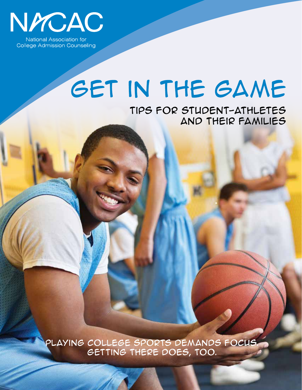

National Association for **College Admission Counseling** 

# GET IN THE GAME

TIPS FOR STUDENT-ATHLETES AND THEIR FAMILIES

PLAYING COLLEGE SPORTS DEMANDS FOCUS.<br>GETTING THERE DOES, TOO.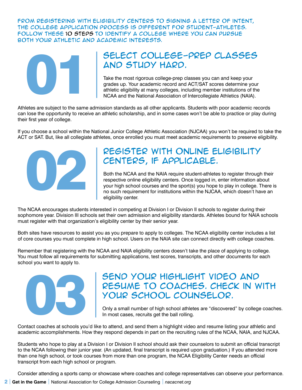FROM REGISTERING WITH ELIGIBILITY CENTERS TO SIGNING A LETTER OF INTENT, THE COLLEGE APPLICATION PROCESS IS DIFFERENT FOR STUDENT-ATHLETES. FOLLOW THESE 10 STEPS TO IDENTIFY A COLLEGE WHERE YOU CAN PURSUE BOTH YOUR ATHLETIC AND ACADEMIC INTERESTS.



## SELECT COLLEGE-PREP CLASSES AND STUDY HARD.

Take the most rigorous college-prep classes you can and keep your grades up. Your academic record and ACT/SAT scores determine your athletic eligibility at many colleges, including member institutions of the NCAA and the National Association of Intercollegiate Athletics (NAIA).

Athletes are subject to the same admission standards as all other applicants. Students with poor academic records can lose the opportunity to receive an athletic scholarship, and in some cases won't be able to practice or play during their first year of college.

If you choose a school within the National Junior College Athletic Association (NJCAA) you won't be required to take the ACT or SAT. But, like all collegiate athletes, once enrolled you must meet academic requirements to preserve eligibility.



## REGISTER WITH ONLINE ELIGIBILITY CENTERS, IF APPLICABLE.

Both the NCAA and the NAIA require student-athletes to register through their respective online eligibility centers. Once logged in, enter information about your high school courses and the sport(s) you hope to play in college. There is no such requirement for institutions within the NJCAA, which doesn't have an eligibility center.

The NCAA encourages students interested in competing at Division I or Division II schools to register during their sophomore year. Division III schools set their own admission and eligibility standards. Athletes bound for NAIA schools must register with that organization's eligibility center by their senior year.

Both sites have resources to assist you as you prepare to apply to colleges. The NCAA eligibility center includes a list of core courses you must complete in high school. Users on the NAIA site can connect directly with college coaches.

Remember that registering with the NCAA and NAIA eligibility centers doesn't take the place of applying to college. You must follow all requirements for submitting applications, test scores, transcripts, and other documents for each school you want to apply to.



## SEND YOUR HIGHLIGHT VIDEO AND RESUME TO COACHES, CHECK IN WITH YOUR SCHOOL COUNSELOR.

Only a small number of high school athletes are "discovered" by college coaches. In most cases, recruits get the ball rolling.

Contact coaches at schools you'd like to attend, and send them a highlight video and resume listing your athletic and academic accomplishments. How they respond depends in part on the recruiting rules of the NCAA, NAIA, and NJCAA.

Students who hope to play at a Division I or Division II school should ask their counselors to submit an official transcript to the NCAA following their junior year. (An updated, final transcript is required upon graduation.) If you attended more than one high school, or took courses from more than one program, the NCAA Eligibility Center needs an official transcript from each high school or program.

Consider attending a sports camp or showcase where coaches and college representatives can observe your performance.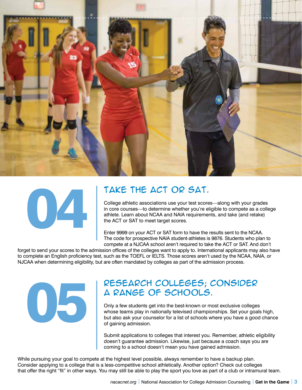



## TAKE THE ACT OR SAT.

College athletic associations use your test scores—along with your grades in core courses—to determine whether you're eligible to compete as a college athlete. Learn about NCAA and NAIA requirements, and take (and retake) the ACT or SAT to meet target scores.

Enter 9999 on your ACT or SAT form to have the results sent to the NCAA. The code for prospective NAIA student-athletes is 9876. Students who plan to compete at a NJCAA school aren't required to take the ACT or SAT. And don't

forget to send your scores to the admission offices of the colleges want to apply to. International applicants may also have to complete an English proficiency test, such as the TOEFL or IELTS. Those scores aren't used by the NCAA, NAIA, or NJCAA when determining eligibility, but are often mandated by colleges as part of the admission process.



### RESEARCH COLLEGES; CONSIDER A RANGE OF SCHOOLS.

Only a few students get into the best-known or most exclusive colleges whose teams play in nationally televised championships. Set your goals high, but also ask your counselor for a list of schools where you have a good chance of gaining admission.

Submit applications to colleges that interest you. Remember, athletic eligibility doesn't guarantee admission. Likewise, just because a coach says you are coming to a school doesn't mean you have gained admission.

While pursuing your goal to compete at the highest level possible, always remember to have a backup plan. Consider applying to a college that is a less-competitive school athletically. Another option? Check out colleges that offer the right "fit" in other ways. You may still be able to play the sport you love as part of a club or intramural team.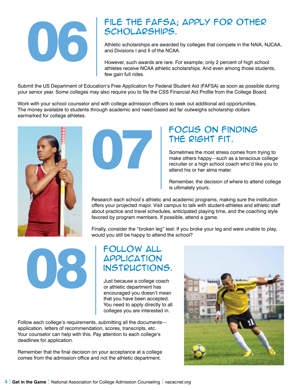

## FILE THE FAFSA; APPLY FOR OTHER SCHOLARSHIPS.

Athletic scholarships are awarded by colleges that compete in the NAIA, NJCAA, and Divisions I and II of the NCAA.

However, such awards are rare. For example, only 2 percent of high school athletes receive NCAA athletic scholarships. And even among those students, few gain full rides.

Submit the US Department of Education's Free Application for Federal Student Aid (FAFSA) as soon as possible during your senior year. Some colleges may also require you to file the CSS Financial Aid Profile from the College Board.

Work with your school counselor and with college admission officers to seek out additional aid opportunities. The money available to students through academic and need-based aid far outweighs scholarship dollars earmarked for college athletes.





## FOCUS ON FINDING THE RIGHT FIT.

Sometimes the most stress comes from trying to make others happy—such as a tenacious college recruiter or a high school coach who'd like you to attend his or her alma mater.

Remember, the decision of where to attend college is ultimately yours.

Research each school's athletic and academic programs, making sure the institution offers your projected major. Visit campus to talk with student-athletes and athletic staff about practice and travel schedules, anticipated playing time, and the coaching style favored by program members. If possible, attend a game.

Finally, consider the "broken leg" test: If you broke your leg and were unable to play, would you still be happy to attend the school?

08

## FOLLOW ALL **APPLICATION** INSTRUCTIONS.

Just because a college coach or athletic department has encouraged you doesn't mean that you have been accepted. You need to apply directly to all colleges you are interested in.

Follow each college's requirements, submitting all the documents application, letters of recommendation, scores, transcripts, etc. Your counselor can help with this. Pay attention to each college's deadlines for application.

Remember that the final decision on your acceptance at a college comes from the admission office and not the athletic department.

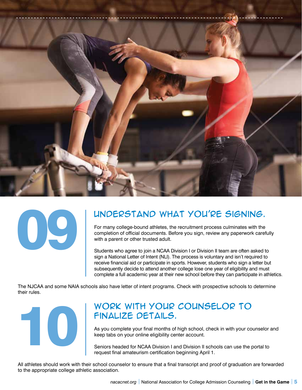



## UNDERSTAND WHAT YOU'RE SIGNING.

For many college-bound athletes, the recruitment process culminates with the completion of official documents. Before you sign, review any paperwork carefully with a parent or other trusted adult.

Students who agree to join a NCAA Division I or Division II team are often asked to sign a National Letter of Intent (NLI). The process is voluntary and isn't required to receive financial aid or participate in sports. However, students who sign a letter but subsequently decide to attend another college lose one year of eligibility and must complete a full academic year at their new school before they can participate in athletics.

The NJCAA and some NAIA schools also have letter of intent programs. Check with prospective schools to determine their rules.



## WORK WITH YOUR COUNSELOR TO FINALIZE DETAILS.

As you complete your final months of high school, check in with your counselor and keep tabs on your online eligibility center account.

Seniors headed for NCAA Division I and Division II schools can use the portal to request final amateurism certification beginning April 1.

All athletes should work with their school counselor to ensure that a final transcript and proof of graduation are forwarded to the appropriate college athletic association.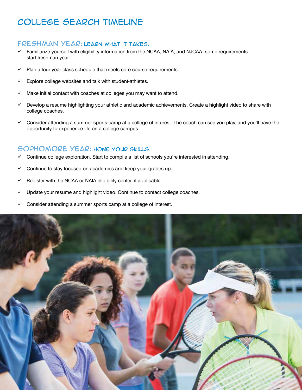## COLLEGE SEARCH TIMELINE

#### FRESHMAN YEAR: LEARN WHAT IT TAKES.

- $\checkmark$  Familiarize yourself with eligibility information from the NCAA, NAIA, and NJCAA; some requirements start freshman year.
- $\checkmark$  Plan a four-year class schedule that meets core course requirements.
- $\checkmark$  Explore college websites and talk with student-athletes.
- $\checkmark$  Make initial contact with coaches at colleges you may want to attend.
- $\checkmark$  Develop a resume highlighting your athletic and academic achievements. Create a highlight video to share with college coaches.
- $\checkmark$  Consider attending a summer sports camp at a college of interest. The coach can see you play, and you'll have the opportunity to experience life on a college campus.

#### SOPHOMORE YEAR: HONE YOUR SKILLS.

- Continue college exploration. Start to compile a list of schools you're interested in attending.
- $\checkmark$  Continue to stay focused on academics and keep your grades up.
- $\checkmark$  Register with the NCAA or NAIA eligibility center, if applicable.
- $\checkmark$  Update your resume and highlight video. Continue to contact college coaches.
- $\checkmark$  Consider attending a summer sports camp at a college of interest.

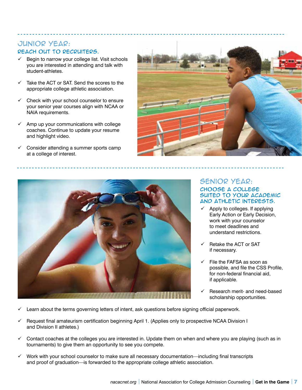#### **JUNIOR YEAR:** REACH OUT TO RECRUITERS.

- $\checkmark$  Begin to narrow your college list. Visit schools you are interested in attending and talk with student-athletes.
- Take the ACT or SAT. Send the scores to the appropriate college athletic association.
- $\checkmark$  Check with your school counselor to ensure your senior year courses align with NCAA or NAIA requirements.
- $\checkmark$  Amp up your communications with college coaches. Continue to update your resume and highlight video.
- $\checkmark$  Consider attending a summer sports camp at a college of interest.





#### **SENIOR YEAR:** CHOOSE A COLLEGE SUITED TO YOUR ACADEMIC AND ATHLETIC INTERESTS.

- Apply to colleges. If applying Early Action or Early Decision, work with your counselor to meet deadlines and understand restrictions.
- $\checkmark$  Retake the ACT or SAT if necessary.
- File the FAFSA as soon as possible, and file the CSS Profile, for non-federal financial aid, if applicable.
- ü Research merit- and need-based scholarship opportunities.
- Learn about the terms governing letters of intent, ask questions before signing official paperwork.
- Request final amateurism certification beginning April 1. (Applies only to prospective NCAA Division I and Division II athletes.)
- $\checkmark$  Contact coaches at the colleges you are interested in. Update them on when and where you are playing (such as in tournaments) to give them an opportunity to see you compete.
- Work with your school counselor to make sure all necessary documentation—including final transcripts and proof of graduation—is forwarded to the appropriate college athletic association.